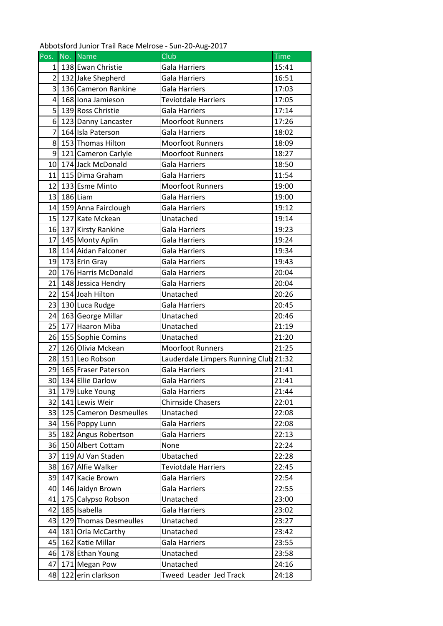Abbotsford Junior Trail Race Melrose - Sun-20-Aug-2017

| Pos.           | No. Name                  | Club                                  | <b>Time</b> |
|----------------|---------------------------|---------------------------------------|-------------|
| $1\vert$       | 138 Ewan Christie         | Gala Harriers                         | 15:41       |
| $\overline{2}$ | 132 Jake Shepherd         | Gala Harriers                         | 16:51       |
| 3              | 136 Cameron Rankine       | <b>Gala Harriers</b>                  | 17:03       |
| $\overline{4}$ | 168 Iona Jamieson         | <b>Teviotdale Harriers</b>            | 17:05       |
| 5 <sup>1</sup> | 139 Ross Christie         | Gala Harriers                         | 17:14       |
| 6 <sup>1</sup> | 123 Danny Lancaster       | <b>Moorfoot Runners</b>               | 17:26       |
| $\overline{7}$ | 164 Isla Paterson         | <b>Gala Harriers</b>                  | 18:02       |
| 8              | 153 Thomas Hilton         | <b>Moorfoot Runners</b>               | 18:09       |
| $\overline{9}$ | 121 Cameron Carlyle       | <b>Moorfoot Runners</b>               | 18:27       |
| 10             | 174 Jack McDonald         | <b>Gala Harriers</b>                  | 18:50       |
| 11             | 115 Dima Graham           | Gala Harriers                         | 11:54       |
| 12             | 133 Esme Minto            | <b>Moorfoot Runners</b>               | 19:00       |
| 13             | 186 Liam                  | Gala Harriers                         | 19:00       |
|                | 14 159 Anna Fairclough    | <b>Gala Harriers</b>                  | 19:12       |
|                | 15 127 Kate Mckean        | Unatached                             | 19:14       |
|                | 16 137 Kirsty Rankine     | Gala Harriers                         | 19:23       |
| 17             | 145 Monty Aplin           | <b>Gala Harriers</b>                  | 19:24       |
| 18             | 114 Aidan Falconer        | <b>Gala Harriers</b>                  | 19:34       |
|                | 19 173 Erin Gray          | <b>Gala Harriers</b>                  | 19:43       |
|                | 20 176 Harris McDonald    | Gala Harriers                         | 20:04       |
|                | 21 148 Jessica Hendry     | Gala Harriers                         | 20:04       |
| 22             | 154 Joah Hilton           | Unatached                             | 20:26       |
|                | 23 130 Luca Rudge         | <b>Gala Harriers</b>                  | 20:45       |
|                | 24 163 George Millar      | Unatached                             | 20:46       |
| 25             | 177 Haaron Miba           | Unatached                             | 21:19       |
|                | 26 155 Sophie Comins      | Unatached                             | 21:20       |
| 27             | 126 Olivia Mckean         | <b>Moorfoot Runners</b>               | 21:25       |
|                | 28 151 Leo Robson         | Lauderdale Limpers Running Club 21:32 |             |
| 29             | 165 Fraser Paterson       | <b>Gala Harriers</b>                  | 21:41       |
|                | 30 134 Ellie Darlow       | <b>Gala Harriers</b>                  | 21:41       |
|                | 31 179 Luke Young         | <b>Gala Harriers</b>                  | 21:44       |
| 32             | 141 Lewis Weir            | <b>Chirnside Chasers</b>              | 22:01       |
|                | 33 125 Cameron Desmeulles | Unatached                             | 22:08       |
| 34             | 156 Poppy Lunn            | <b>Gala Harriers</b>                  | 22:08       |
|                | 35 182 Angus Robertson    | Gala Harriers                         | 22:13       |
|                | 36 150 Albert Cottam      | None                                  | 22:24       |
| 37             | 119 AJ Van Staden         | Ubatached                             | 22:28       |
|                | 38 167 Alfie Walker       | Teviotdale Harriers                   | 22:45       |
| 39             | 147 Kacie Brown           | Gala Harriers                         | 22:54       |
|                | 40 146 Jaidyn Brown       | <b>Gala Harriers</b>                  | 22:55       |
| 41             | 175 Calypso Robson        | Unatached                             | 23:00       |
| 42             | 185 Isabella              | <b>Gala Harriers</b>                  | 23:02       |
| 43             | 129 Thomas Desmeulles     | Unatached                             | 23:27       |
| 44             | 181 Orla McCarthy         | Unatached                             | 23:42       |
|                | 45 162 Katie Millar       | <b>Gala Harriers</b>                  | 23:55       |
| 46             | 178 Ethan Young           | Unatached                             | 23:58       |
| 47             | 171 Megan Pow             | Unatached                             | 24:16       |
| 48             | 122 erin clarkson         | Tweed Leader Jed Track                | 24:18       |